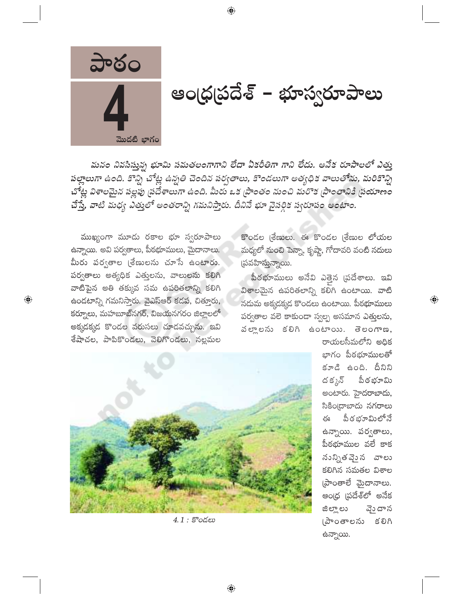

ఆండ్రప్రదేశ్ – భూస్వరూపాలు

మనం నివసిస్తున్న భూమి సమతలంగాగాని లేదా ఏకరీతిగా గాని లేదు. అనేక రూపాలలో ఎత్తు పల్లాలుగా ఉంది. కొన్ని చోట్ల ఉన్నతి చెందిన పర్వతాలు, కొండలుగా అత్యధిక వాలుతోను, మరికొన్ని చోట్ల విశాలమైన పల్లపు (పదేశాలుగా ఉంది. మీరు ఒక (పాంతం నుంచి మరొక (పాంతానికి (పయాణం చేస్తే, వాటి మధ్య ఎత్తులో అంతరాన్ని గమనిస్తారు. దీనినే భూ వైసర్గిక స్వరూపం అంటాం.

 $\bigoplus$ 

ముఖ్యంగా మూడు రకాల భూ స్వరూపాలు ఉన్నాయి. అవి పర్వతాలు, పీఠభూములు, మైదానాలు. మీరు పర్వతాల (శేణులను చూసే ఉంటారు. పర్వతాలు అత్యధిక ఎత్తులను, వాలులను కలిగి వాటిపైన అతి తక్కువ సమ ఉపరితలాన్ని కలిగి ఉండటాన్ని గమనిస్తారు. వైఎస్ఆర్ కడప, చితూరు, కర్నూలు, మహబూబ్నగర్, విజయనగరం జిల్లాలలో అక్కడక్కడ కొండల వరుసలు చూడవచ్చును. ఇవి శేషాచల, పాపికొండలు, వెలిగొండలు, నల్లమల

 $\bigoplus$ 

కొండల (శేణులు. ఈ కొండల (శేణుల లోయల మధ్యలో నుంచి పెన్నా, కృష్ణా, గోదావరి వంటి నదులు (పవహిస్తున్నాయి.

పీఠభూములు అనేవి ఎత్తైన (పదేశాలు. ఇవి విశాలమైన ఉపరితలాన్ని కలిగి ఉంటాయి. వాటి నదుమ అక్కడక్కడ కొండలు ఉంటాయి. పీఠభూములు పర్వతాల వలె కాకుండా స్వల్ప అసమాన ఎత్తులను, వలాలను కలిగి ఉంటాయి. తెలంగాణ,



4.1: కొండలు

రాయలసీమలోని అదిక భాగం పీఠభూములతో కూడి ఉంది. దీనిని ద క్కన్ పీఠ భూమి అంటారు. హైదరాబాదు, సికిం[దాబాదు నగరాలు పీఠభూమిలోనే ఈ ఉన్నాయి. పర్వతాలు, పీఠభూముల వలే కాక నున్నితవెైన వాలు కలిగిన సమతల విశాల  $\omega$ ంతాలే మైదానాలు. ఆంధ్ర ప్రదేశ్లో అనేక వ్తెందాన ಜಿಲ್ಲ್ ಲು (పాంతాలను కలిగి ఉన్నాయి.

 $\bigoplus$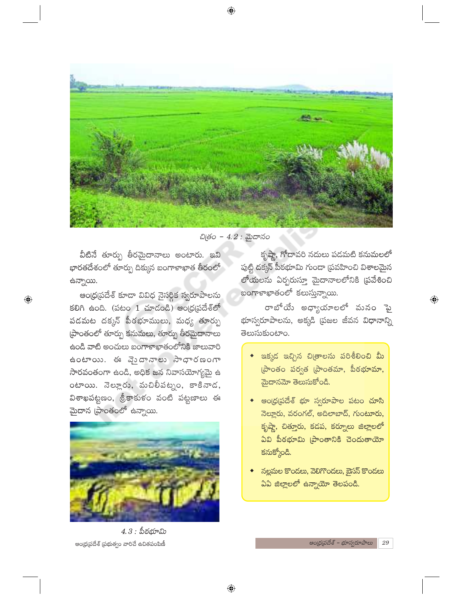⊕



చిత్రం - 4.2 : మైదానం

వీటినే తూర్పు తీరమైదానాలు అంటారు. ఇవి భారతదేశంలో తూర్పు దిక్కున బంగాళాఖాత తీరంలో ఉన్నాయి.

 $\bigoplus$ 

ఆంధ్రప్రదేశ్ కూడా వివిధ నైసర్ధిక స్వరూపాలను కలిగి ఉంది. (పటం 1 చూడండి) ఆంధ్ర(పదేశ్లో పడమట దక్కన్ పీఠభూములు, మధ్య తూర్పు ప్రాంతంలో తూర్పు కనుమలు, తూర్పు తీరమైదానాలు ఉండి వాటి అంచులు బంగాళాఖాతంలోనికి జాలువారి ఉంటాయి. ఈ వెందానాలు సాధారణంగా సారవంతంగా ఉండి, అధిక జన నివాసయోగ్యమై ఉ  $o$ టాయి. నెల్లూరు, మచిలీపట్నం, కాకినాడ, విశాఖపట్టణం, శ్రీకాకుళం వంటి పట్టణాలు ఈ మైదాన (పాంతంలో ఉన్నాయి.



 $4.3:$  పీరభూమి ఆంధ్రప్రదేశ్ (పభుత్వం వారిచే ఉచితపంపిణీ

కృష్ణా, గోదావరి నదులు పడమటి కనుమలలో పుట్టి దక్కన్ పీఠభూమి గుండా (పవహించి విశాలమైన లోయలను ఏర్పరుస్తూ మైదానాలలోనికి (పవేశించి బంగాళాఖాతంలో కలుస్తున్నాయి.

రాబోయే అధ్యాయాలలో మనం పై భూస్వరూపాలను, అక్కడి (పజల జీవన విధానాన్ని తెలుసుకుంటాం.

- ఇక్కడ ఇచ్చిన చి(తాలను పరిశీలించి మీ (పాంతం పర్వత (పాంతమా, పీఠభూమా, మైదానమో తెలుసుకోండి.
- ఆంధ్రప్రదేశ్ భూ స్వరూపాల పట<mark>ం చూస</mark>ి నెల్లూరు, వరంగల్, అదిలాబాద్, గుంటూరు, కృష్ణా, చిత్తూరు, కడప, కర్నూలు జిల్లాలలో ఏవి పీఠభూమి (పాంతానికి చెందుతాయో కనుక్కోండి.
- నల్లమల కొండలు, వెలిగొండలు, బైసన్ కొండలు ఏఏ జిల్లాలలో ఉన్నాయో తెలపండి.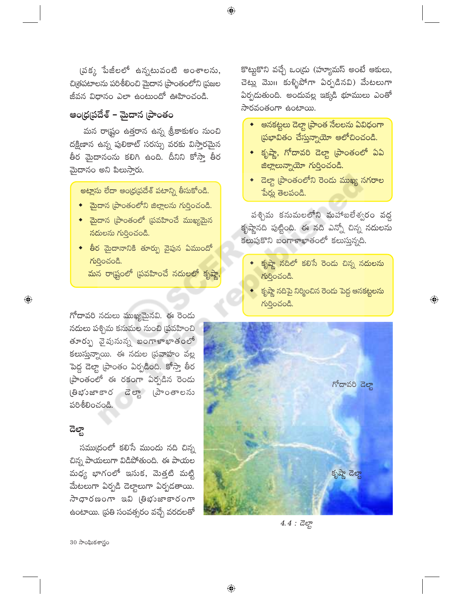(పక్క పేజీలలో ఉన్నటువంటి అంశాలను, చిత్రపటాలను పరిశీలించి మైదాన (పాంతంలోని (పజల జీవన విధానం ఎలా ఉంటుందో ఊహించండి.

 $\bigoplus$ 

## ఆం(ధ(పదేశ్ – మైదాన (పాంతం

మన రాష్ట్రం ఉత్తరాన ఉన్న శ్రీకాకుళం నుంచి దక్షిణాన ఉన్న పులికాట్ సరస్సు వరకు విస్తారమైన తీర మైదానంను కలిగి ఉంది. దీనిని కోస్తా తీర మైదానం అని పిలుస్తారు.

అట్లాసు లేదా ఆంధ్రప్రదేశ్ పటాన్ని తీసుకోండి.

- $\bullet$  බైదాన (పాంతంలోని జిల్లాలను గుర్తించండి.
- $\bullet$  మైదాన (ప్రాంతంలో (ప్రవహించే ముఖ్యమైన నదులను గుర్తించండి.
- ◆ తీర మైదానానికి తూర్పు వైపున ఏముందో గుర్తించండి.

<mark>మన రా</mark>ష్టంలో (పవహించే నదులలో కృష్ణా

గోదావరి నదులు ముఖ్యమైనవి. ఈ రెండు నదులు పశ్చిమ కనుమల నుంచి (పవహించి తూర్పు వైపునున్న బంగాళాఖాతంలో కలుస్తున్నాయి. ఈ నదుల (పవాహం వల్ల పెద్ద డెల్టా (పాంతం ఏర్పడింది. కోస్తా తీర ప్రాంతంలో ఈ రకంగా ఏర్పడిన రెండు (తిభుజాకార డెల్టా (పాంతాలను పరిశీలించండి.

## ಡಿಲ್ಜ್

 $\bigoplus$ 

సముద్రంలో కలిసే ముందు నది చిన్న చిన్న పాయలుగా విడిపోతుంది. ఈ పాయల మధ్య భాగంలో ఇసుక, మెత్తటి మట్టి మేటలుగా ఏర్పడి డెల్యాలుగా ఏర్పడతాయి. ல் ஒருக்கு முழுத்தை மா ఉంటాయి. (పతి సంవత్సరం వచ్చే వరదలతో

కొట్టుకొని వచ్చే ఒం(డు (హ్యూమస్ అంటే ఆకులు, చెట్లు మొగి కుళ్ళిపోగా ఏర్పడినవి) మేటలుగా ఏర్పదుతుంది. అందువల్ల ఇక్కడి భూములు ఎంతో సారవంతంగా ఉంటాయి.

- $\bullet$  ఆనకట్టలు డెల్తా [ప్రాంత నేలలను ఏవిధంగా  $\beta$  (పభావితం చేస్తున్నాయో ఆలోచించండి.
- $\bullet$  కృష్ణా, గోదావరి డెల్టా (పాంతంలో ఏఏ జిల్లాలున్నాయో గుర్తించండి.
- $\bullet$  డెల్టా [పాంతంలోని రెండు ముఖ్య నగరాల పేర్లు తెలపండి.

పశ్చిమ కనుమలలోని మహాబలేశ్వరం వద్ద కృష్ణానది పుట్టింది. ఈ నది ఎన్నో చిన్న నదులను .<br>కలుపుకొని బంగాళాఖాతంలో కలుస్తున్నది.

- కృష్ణా నదిలో కలిసే రెండు చిన్న నదులను గుర్తించండి.
- $\bullet$  కృష్ణా నదిపై నిర్మించిన రెండు పెద్ద ఆనకట్టలను  $K$ ဝ္ဝသ်ဝငီ.

 $\bigoplus$ 



 $4.4:$   $\vec{a}$ 

 $30\overline{\phantom{0}}$ ాధీలకశాస్త్రం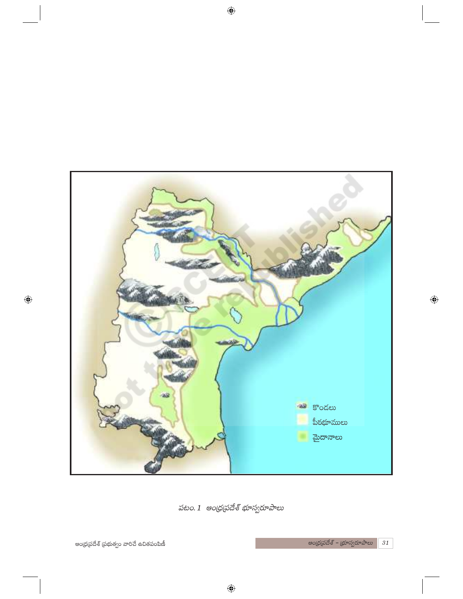

పటం. 1 ఆంధ్రప్రదేశ్ భూస్వరూపాలు

ఆంధ్రప్రదేశ్ – భూస్వరూపాలు $\boxed{31}$ 

 $\bigoplus$ 

ఆంధ్ర(పదేశ్ (పభుత్వం వారిచే ఉచితపంపిణీ

 $\bigoplus$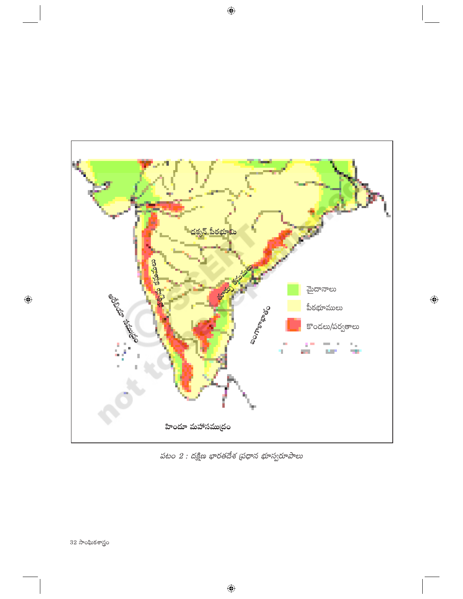

పటం  $2$  : దక్షిణ భారతదేశ (పధాన భూస్వరూపాలు

 $\bigoplus$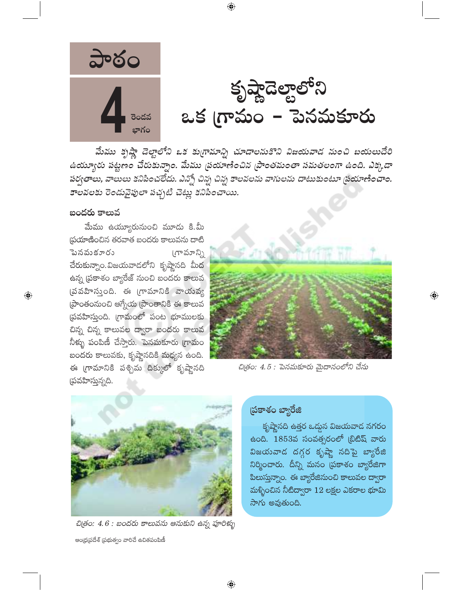

మేము కృష్ణా డెల్టాలోని ఒక కుగ్రామాన్ని చూడాలనుకొని విజయవాడ నుంచి బయలుదేరి ఉయ్యూరు పట్టణం చేరుకున్నాం. మేము ప్రయాణించిన (పాంతమంతా సమతలంగా ఉంది. ఎక్కడా పర్వతాలు, వాలులు కనిపించలేదు. ఎన్నో చిన్న చిన్న కాలవలను వాగులను దాటుకుంటూ ప్రయాణించాం. కాలవలకు రెండువైపులా పచ్చటి చెట్లు కనిపించాయి.

 $\bigoplus$ 

#### బందరు కాలువ

మేము ఉయ్యూరునుంచి మూడు కి.మీ స్రయాణించిన తరవాత బందరు కాలువను దాటి ెబనవుకూరు  $(\pi^{\circ} \text{P} \text{P} \text{P})$ చేరుకున్నాం.విజయవాడలోని కృష్ణానది మీద ఉన్న (పకాశం బ్యారేజ్ నుంచి బందరు కాలువ (పవహిస్తుంది. ఈ గ్రామానికి వాయవ్య ప్రాంతంనుంచి ఆగ్నేయ ప్రాంతానికి ఈ కాలువ (పవహిస్తుంది. గ్రామంలో పంట భూములకు చిన్న చిన్న కాలువల ద్వారా బందరు కాలువ నీళ్ళు పంపిణీ చేస్తారు. పెనమకూరు గ్రామం బందరు కాలువకు, కృష్ణానదికి మధ్యన ఉంది. ఈ గ్రామానికి పశ్చిమ దిక్కులో కృష్ణానది (పవహిస్తున్నది.



 $\bigoplus$ 

చిత్రం: 4.5 : పెనమకూరు మైదానంలోని చేను



చిత్రం: 4.6 : బందరు కాలువను ఆనుకుని ఉన్న పూరిక్భు ఆంధ్రప్రదేశ్ (పభుత్వం వారిచే ఉచితపంపిణీ

### ప్రకాశం బ్యారేజి

కృష్ణానది ఉత్తర ఒద్దున విజయవాడ నగరం ఉంది. 1853వ సంవత్సరంలో ట్రిటిష్ వారు విజయవాడ దగ్గర కృష్ణా నదిపై బ్యారేజి నిర్మించారు. దీన్ని మనం (పకాశం బ్యారేజిగా పిలుస్తున్నాం. ఈ బ్యారేజినుంచి కాలువల ద్వారా మళ్ళించిన నీటిద్వారా  $12$  లక్షల ఎకరాల భూమి సాగు అవుతుంది.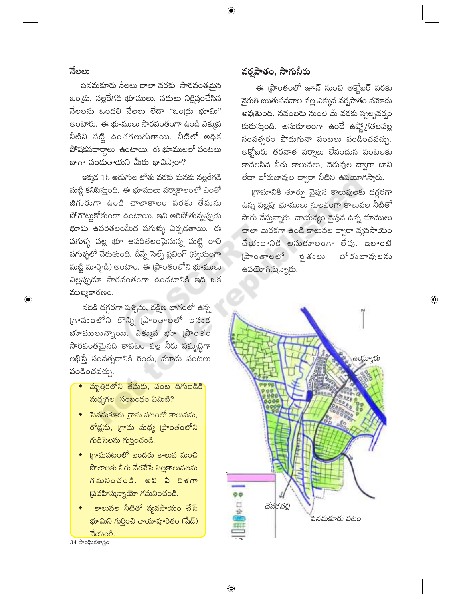#### నేలలు

 $\bigoplus$ 

పెనమకూరు నేలలు చాలా వరకు సారవంతమైన ఒండ్రు, నల్లరేగడి భూములు. నదులు నిక్షిప్తంచేసిన  $\vec{a}$ లలను ఒండలి నేలలు లేదా "ఒండు భూమి" అంటారు. ఈ భూములు సారవంతంగా ఉండి ఎక్కువ నీటిని పట్టి ఉంచగలుగుతాయి. వీటిలో అధిక పోషకపదార్థాలు ఉంటాయి. ఈ భూములలో పంటలు బాగా పండుతాయని మీరు భావిసారా?

ఇక్కడ 15 అదుగుల లోతు వరకు మనకు నల్లరేగడి మట్టి కనిపిస్తుంది. ఈ భూములు వర్వాకాలంలో ఎంతో జిగురుగా ఉండి చాలాకాలం వరకు తేమను పోగొట్టుకోకుండా ఉంటాయి. ఇవి ఆరిపోతున్నప్పుడు భూమి ఉపరితలంమీద పగుళ్ళు ఏర్పడతాయి. ఈ పగుళ్ళ వల్ల భూ ఉపరితలంపైనున్న మట్టి రాలి పగుళ్ళలో చేరుతుంది. దీన్నే సెల్ఫ్ ప్లవింగ్ (స్వయంగా మట్టి మార్పిడి) అంటాం. ఈ [పాంతంలోని భూములు ఎల్లప్పుడూ సారవంతంగా ఉండటానికి ఇది ఒక ముఖ్యకారణం.

నదికి దగ్గరగా పశ్చిమ, దక్షిణ భాగంలో ఉన్న గామంలోని కొన్ని (పాంతాలలో ఇనుక భూములున్నాయి. ఎక్కువ భూ (పాంతం సారవంతమైనది కావటం వల్ల నీరు సమృద్ధిగా లభిస్తే సంవత్సరానికి రెండు, మూడు పంటలు పండించవచ్చు.

- మృత్తికలోని తేమకు, పంట దిగుబడికి మధ్యగల సంబంధం ఏమిటి?
- $\bullet$ ్ పెనమకూరు (గామ పటంలో కాలువను, రోడ్లను, గ్రామ మధ్య [పాంతంలోని గుడిసెలను గుర్తించండి.
- ్మగామపటంలో బందరు కాలువ నుంచి పొలాలకు నీరు చేరవేసే పిల్లకాలువలను గమనించండి. అవి ఏ దిశగా  $\beta$ పవహిస్తున్నాయో గమనించండి.
- కాలువల నీటితో వ్యవసాయం చేసే భూమిని గుర్తించి ఛాయాపూరితం (షేడ్) చేయండి

34 సాంఘికశాస్త్రం

### వర్తపాతం, సాగునీరు

ఈ [పాంతంలో జూన్ నుంచి అక్టోబర్ వరకు నైరుతి ఋతుపవనాల వల్ల ఎక్కువ వర్షపాత<mark>ం</mark> నమోదు అవుతుంది. నవంబరు నుంచి మే వరకు స్వల్పవర్వం కురుస్తుంది. అనుకూలంగా ఉండే ఉష్ణో(గతలవల్ల సంవత్సరం పొడుగునా పంటలు పండించవచ్చు. అక్ట్రోబరు తరవాత వర్వాలు లేనందున పంటలకు కావలసిన నీరు కాలువలు, చెరువుల ద్వారా బావి లేదా బోరుబావుల ద్వారా నీటిని ఉపయోగిస్తారు.

గ్రామానికి తూర్పు వైపున కాలువులకు దగ్గరగా ఉన్న పల్లపు భూములు సులభంగా కాలువల నీటితో సాగు చేస్తున్నారు. వాయవ్యం వైపున ఉన్న భూములు చాలా మెరకగా ఉండి కాలువల ద్వారా వ్యవసాయం చేయండానికి అనుకూలంగా లేవు. ఇలాంటి (పాంతాలలో రైతులు బోరుబావులను ఉపయోగిస్తున్నారు.

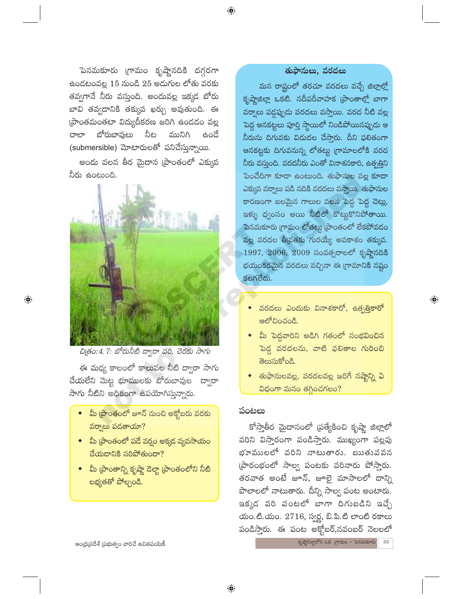పెనమకూరు గ్రామం కృష్ణానదికి దగ్గరగా ఉండటంవల్ల 15 నుండి 25 అడుగుల లోతు వరకు తవ్వగానే నీరు వస్తుంది. అందువల్ల ఇక్కడ బోరు బావి తవ్వదానికి తక్కువ ఖర్చు అవుతుంది. ఈ ప్రాంతమంతటా విద్యుదీకరణ జరిగి ఉందడం వల్ల బోరుబావులు నీట మునిగి ವಾಲ್ ಕಿಂದೆ (submersible) మోటారులతో పనిచేస్తున్నాయి.

అందు వలన తీర మైదాన (పాంతంలో ఎక్కువ నీరు ఉంటుంది.



చిత్రం: 4. 7: బోరునీటి ద్వారా వరి, చెరకు సాగు

ఈ మధ్య కాలంలో కాలువల నీటి ద్వారా సాగు చేయలేని మెట్ట భూములకు బోరుబావుల ద్వారా సాగు నీటిని అధికంగా ఉపయోగిస్తున్నారు.

- మీ [పాంతంలో జూన్ నుంచి అక్టోబరు వరకు వర్వాలు పడతాయా?
- $\bullet$  మీ (పాంతంలో పడే వర్షం అక్కడ వ్యవసాయం చేయదానికి సరిపోతుందా?
- ◆ మీ [పాంతాన్ని కృష్ణా డెల్టా [పాంతంలోని నీటి లభ్యతతో పోల్చండి.

#### తుఫానులు, వరదలు

 $\bigoplus$ 

మన రాష్టంలో తరచూ వరదలు వచ్చే జిల్లాల్లో కృష్ణాజిల్లా ఒకటి. నదీపరీవాహక (పాంతాల్లో బాగా వర్వాలు పడ్డప్పుడు వరదలు వస్తాయి. వరద నీటి వల్ల పెద్ద ఆనకట్టలు పూర్తి స్థాయిలో నిండిపోయినప్పుడు ఆ నీరును దిగువకు విడుదల చేసారు. దీని ఫలితంగా ఆనకట్టకు దిగువనున్న లోతట్టు (గామాలలోకి వరద నీరు వస్తుంది. వరదనీరు ఎంతో వినాశనకారి, ఉత్పత్తిని పెంచేదిగా కూడా ఉంటుంది. తుఫానుల వల్ల కూడా ఎక్కువ వర్వాలు పడి నదికి వరదలు వస్తాయి. తుఫానుల కారణంగా బలమైన గాలుల వలన పెద్ద పెద్ద చెట్లు, ఇక్ము ధ్వంసం అయి నీటిలో కొట్టకొనిపోతా<mark>యి.</mark> పెనమకూరు గ్రామం లోతట్టు (పాంతంలో లేకపోవడం వల్ల వరదల <mark>తీ</mark>వ్రతకు గురయ్యే అవకాశం తక్కువ. 1997, 2006, 2009 సంవత్సరాలలో కృష్ణానదికి భయంకరమైన వరదలు వచ్చినా ఈ గ్రామానికి నష్టం కలగలేదు.

◆ వరదలు ఎందుకు వినాశకారో, ఉత్పత్తికారో ఆలోచించండి.

 $\bigoplus$ 

- ◆ మీ పెద్దవారిని అడిగి గతంలో సంభవించిన <u>పెద్ద వరదలను, వాటి ఫలితాల గురించి</u> తెలుసుకోండి.
- $\bullet$  తుఫానులవల్ల, వరదలవల్ల జరిగే నష్టాన్ని ఏ విధంగా మనం తగ్గించగలం?

#### పంటలు

కోస్తాతీర మైదానంలో (పత్యేకించి కృష్ణా జిల్లాలో వరిని విసారంగా పండిసారు. ముఖ్యంగా పల్లపు భూములలో వరిని నాటుతారు. ఋతుపవన ప్రారంభంలో సాల్వ పంటకు వరినారు పోస్తారు. తరవాత అంటే జూన్, జూలై మాసాలలో దాన్ని పొలాలలో నాటుతారు. దీన్ని సాల్వ పంట అంటారు. ఇక్కడ వరి వంటలో బాగా దిగుబడిని ఇచ్చే యం.టి.యం. 2716, స్వర్ణ, బి.పి.టి లాంటి రకాలు పండిస్తారు. ఈ పంట అక్హోబర్,నవంబర్ నెలలలో

 $\frac{1}{2}$ కృష్ణాదెల్టాలోని ఒక (గామం - పెనమకూరు  $35\,$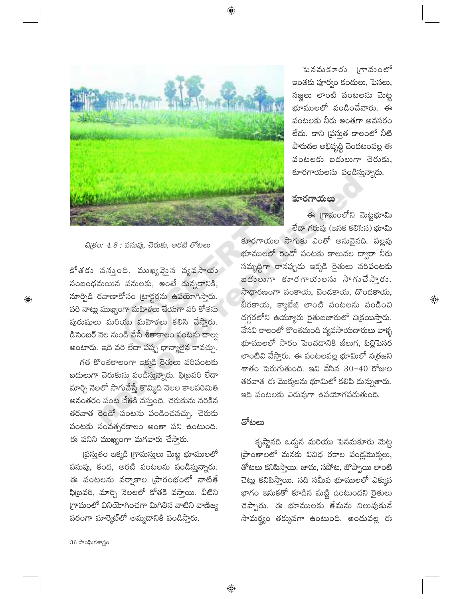⊕



పెనవుకూరు (గావుంలో ఇంతకు పూర్వం కందులు, పెసలు, సజ్జలు లాంటి పంటలను మెట్ట భూములలో పండించేవారు. ఈ పంటలకు నీరు అంతగా అవసరం లేదు. కాని (పస్తుత కాలంలో నీటి పారుదల అభివృద్ధి చెందటంవల్ల ఈ పంటలకు బదులుగా చెరుకు, కూరగాయలను పండిస్తున్నారు.

#### కూరగాయలు

ఈ గ్రామంలోని మెట్టభూమి లేదా గరువు (ఇసక కలిసిన) భూమి

 $\textcircled{\scriptsize\textsf{P}}$ 

చిత్రం: 4.8 : పసుపు, చెరుకు, అరటి తోటలు

కోతకు వన్తుంది. ముఖ్యమైన వ్యవసాయ సంబంధమయిన పనులకు, అంటే దున్నడానికి, నూర్పిడి రవాణాకోసం ట్రాక్టర్లను ఉపయోగిస్తారు. వరి నాట్లు ముఖ్యంగా మహిళలు చేయగా వరి కోతను పురుషులు మరియు మహిళలు కలిసి చేస్తారు. డిసెంబర్ నెల నుండి వేసే శీతాకాలం పంటను దాల్వ అంటారు. ఇది వరి లేదా పప్పు ధాన్యాలైన కావచ్చు.

గత కొంతకాలంగా ఇక్కడి రైతులు వరిపంటకు బదులుగా చెరుకును పండిస్తున్నారు. ఫిట్రవరి లేదా మార్చి నెలలో సాగుచేస్తే తొమ్మిది నెలల కాలపరిమితి అనంతరం పంట చేతికి వస్తుంది. చెరుకును నరికిన తరవాత రెండో పంటను పండించవచ్చు. చెరుకు పంటకు సంవత్సరకాలం అంతా పని ఉంటుంది. ఈ పనిని ముఖ్యంగా మగవారు చేస్తారు.

(పస్తుతం ఇక్కడి (గామస్తులు మెట్ట భూములలో పసుపు, కంద, అరటి పంటలను పండిస్తున్నారు. ఈ పంటలను వర్వాకాల (పారంభంలో నాటితే ఫి(బవరి, మార్చి నెలలలో కోతకి వస్తాయి. వీటిని గ్రామంలో వినియోగించగా మిగిలిన వాటిని వాణిజ్య పరంగా మార్కెట్లో అమ్మడానికి పండిస్తారు.

కూరగాయల సాగుకు ఎంతో అనువైనది. పల్లపు భూములలో రెండో పంటకు కాలువల ద్వారా నీరు సమృద్ధిగా రానప్పుడు ఇక్కడి రైతులు వరిపంటకు బదులుగా కూరగాయలను సాగుచేసారు. సాధారణంగా వంకాయ, బెండకాయ, దొండకాయ, బీరకాయ, క్యాబేజి లాంటి పంటలను పండించి దగ్గరలోని ఉయ్యూరు రైతుబజారులో విక్రయిస్తారు. వేసవి కాలంలో కొంతమంది వ్యవసాయదారులు వాళ్ళ భూములలో సారం పెంచడానికి జీలుగ, పిల్లిపెసర లాంటివి వేస్తారు. ఈ పంటలవల్ల భూమిలో న[తజని శాతం పెరుగుతుంది. ఇవి వేసిన 30–40 రోజుల తరవాత ఈ మొక్కలను భూమిలో కలిపి దున్నుతారు. ఇది పంటలకు ఎరువుగా ఉపయోగపడుతుంది.

#### తోటలు

 $\bigoplus$ 

కృష్ణానది ఒద్దున మరియు పెనమకూరు మెట్ట (పాంతాలలో మనకు వివిధ రకాల పండ్లమొక్కలు, తోటలు కనిపిస్తాయి. జామ, సపోట, బొప్పాయి లాంటి చెట్లు కనిపిస్తాయి. నది సమీప భూములలో ఎక్కువ భాగం ఇసుకతో కూడిన మట్టి ఉంటుందని రైతులు చెప్పారు. ఈ భూములకు తేమను నిలుపుకునే సామర్థ్యం తక్కువగా ఉంటుంది. అందువల్ల ఈ

36 సాంఘికశాస్త్రం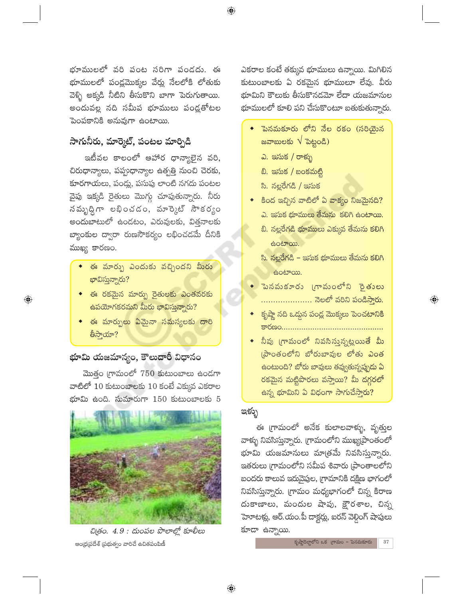భూములలో వరి పంట సరిగా పండదు. ఈ భూములలో పండ్లమొక్కల వేర్లు నేలలోకి లోతుకు వెళ్ళి అక్కడి నీటిని తీసుకొని బాగా పెరుగుతాయి. అందువల్ల నది సమీప భూములు పండ్లతోటల పెంపకానికి అనువుగా ఉంటాయి.

## సాగునీరు, మార్కెట్, పంటల మార్పిడి

ఇటీవల కాలంలో ఆహార ధాన్యాలైన వరి, చిరుధాన్యాలు, పప్పుధాన్యాల ఉత్పత్తి నుంచి చెరకు, కూరగాయలు, పండ్లు, పసుపు లాంటి నగదు పంటల వైపు ఇక్కడి రైతులు మొగ్గు చూపుతున్నారు. నీరు నమృద్ధిగా లభించడం, మార్కెట్ సౌకర్యం అందుబాటులో ఉండటం, ఎరువులకు, విత్తనాలకు బ్యాంకుల ద్వారా రుణసౌకర్యం లభించడమే దీనికి ముఖ్య కారణం.

- $\bullet$  ఈ మార్పు ఎందుకు వచ్చిందని మీరు భావిస్తున్నారు?
- $\bullet$  ఈ రకమైన మార్పు రైతులకు ఎంతవరకు  $\frac{1}{6}$ పయోగకరమని మీరు భావిస్తున్నారు?

 $\bigoplus$ 

• ఈ మార్పులు ఏమైనా సమస్యలకు దారి తీసాయా?

## భూమి యజమాన్యం, కౌలుదారీ విధానం

మొత్తం గ్రామంలో 750 కుటుంబాలు ఉండగా వాటిలో  $10$  కుటుంబాలకు  $10$  కంటే ఎక్కువ ఎకరాల భూమి ఉంది. సుమారుగా  $150$  కుటుంబాలకు  $5$ 



చిత్రం. 4.9 : దుంపల పొలాల్లో కూలీలు ఆంధ్రప్రదేశ్ (పభుత్వం వారిచే ఉచితపంపిణీ

ఎకరాల కంటే తక్కువ భూములు ఉన్నాయి. మిగిలిన కుటుంబాలకు ఏ రకమైన భూములూ లేవు. వీరు భూమిని కౌలుకు తీసుకొనడమో లేదా యజమానుల భూములలో కూలి పని చేసుకొంటూ బతుకుతున్నారు.

- ెపెనమకూరు లోని నేల రకం (సరియైన జవాబులకు  $\sqrt{2}$ పెట్టండి)
	- ఎ. ఇసుక / రాళ్ళు
	- బి. ఇసుక / బంకమట్టి
	- సి. నల్లరేగడి / ఇసుక
- కింద ఇచ్చిన వాటిలో ఏ వాక్యం నిజమైనది? ఎ. ఇసుక భూములు తేమను కలిగి ఉంటాయి.
	- బి. నల్లరేగడి భూములు ఎక్కువ తేమను కలిగి ఉంటాయి.
	- సి. నల్లరేగడి ఇసుక భూములు తేమను కలిగి ఉంటాయి.
- ె పెనవుకూరు (గావుంలోని సైతులు ..................... నెలలో వరిని పండిస్తారు.

 $\textcircled{\scriptsize\textsf{P}}$ 

- కృష్ణా నది ఒద్దున పండ్ల మొక్కలు పెంచటానికి <u>sages (\* 1858)</u>
- $\bullet$  నీవు (గామంలో నివసిస్తున్నట్లయితే మీ (పాంతంలోని బోరుబావుల లోతు ఎంత ఉంటుంది? బోరు బావులు తవ్వుతున్నప్పుడు ఏ రకమైన మట్టిపొరలు వస్తాయి? మీ దగ్గరలో ఉన్న భూమిని ఏ విధంగా సాగుచేస్తారు?

## ಇಳ್ಳು

ఈ గ్రామంలో అనేక కులాలవాళ్ళు, వృత్తుల వాళ్ళు నివసిస్తున్నారు. (గామంలోని ముఖ్య[పాంతంలో భూమి యజమానులు మాత్రమే నివసిస్తున్నారు. ఇతరులు గ్రామంలోని సమీప శివారు [పాంతాలలోని బందరు కాలువ ఇరువైపుల, గ్రామానికి దక్షిణ భాగంలో నివసిస్తున్నారు. (గామం మధ్యభాగంలో చిన్న కిరాణ దుకాణాలు, మందుల షాపు, క్షౌరశాల, చిన్న హెూటళ్లు, ఆర్.యం.పీ దాక్టర్లు, ఐరన్ వెల్దింగ్ షాపులు కూడా ఉన్నాయి.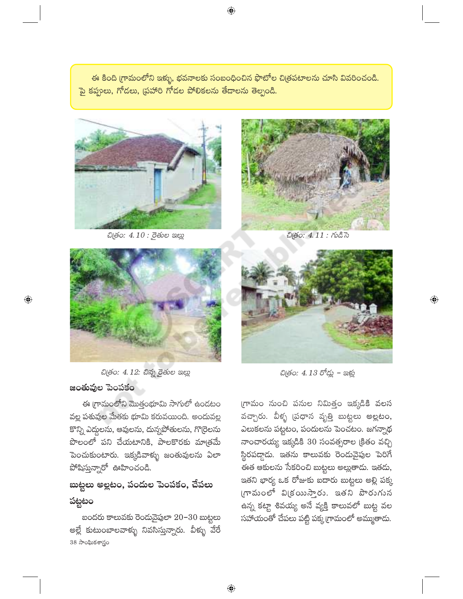ఈ కింది గ్రామంలోని ఇక్ళు, భవనాలకు సంబంధించిన ఫొటోల చిత్రపటాలను చూసి వివరించండి. పై కప్పలు, గోడలు, (పహారి గోడల పోలికలను తేదాలను తెల్పండి.



ඩල්o: 4.10 : రైతుల ఇల్లు



చి(తం: 4.11 : గుడిసె



చిత్రం: 4.12: చిన్న రైతుల ఇల్లు జంతువుల పెంపకం

 $\bigoplus$ 

ఈ గ్రామంలోని మొత్తంభూమి సాగులో ఉందటం వల్ల పశువుల మేతకు భూమి కరువయింది. అందువల్ల కొన్ని ఎద్దలను, ఆవులను, దున్నపోతులను, గొ(రెలను పొలంలో పని చేయటానికి, పాలకొరకు మాత్రమే పెంచుకుంటారు. ఇక్కడివాళ్ళు జంతువులను ఏలా  $\hat{\mathfrak{D}}$  and  $\hat{\mathfrak{D}}$  and  $\hat{\mathfrak{D}}$  and  $\hat{\mathfrak{D}}$  and  $\hat{\mathfrak{D}}$ 

# బుట్టలు అల్లటం, పందుల పెంపకం, చేపలు పట్టటం

బందరు కాలువకు రెందువైపులా 20-30 బుట్టలు అల్లే కుటుంబాలవాళ్ళు నివసిస్తున్నారు. వీళ్ళు వేరే 38 సాంఘికశాస్త్రం

 $\bigoplus$ 



 $\overline{\mathbb{Q}}$ 

చిత్రం: 4.13 రోడ్లు - ఇళ్లు

గ్రామం నుంచి పనుల నిమిత్తం ఇక్కడికి వలస వచ్చారు. వీళ్ళ (పధాన వృత్తి బుట్టలు అల్లటం, ఎలుకలను పట్టటం, పందులను పెంచటం. జగన్నాథ నాంచారయ్య ఇక్కడికి 30 సంవత్సరాల (కితం వచ్చి స్థిరపడ్డాడు. ఇతను కాలువకు రెండువైపుల పెరిగే .<br>ఈత ఆకులను సేకరించి బుట్టలు అల్లుతాడు. ఇతడు, ఇతని భార్య ఒక రోజుకు ఐదారు బుట్టలు అల్లి పక్క గామంలో విక్రయిస్తారు. ఇతని పొరుగున ఉన్న కట్టా శివయ్య అనే వ్యక్తి కాలువలో బుట్ట వల సహాయంతో చేపలు పట్టి పక్క గ్రామంలో అమ్ముతాదు.

⊕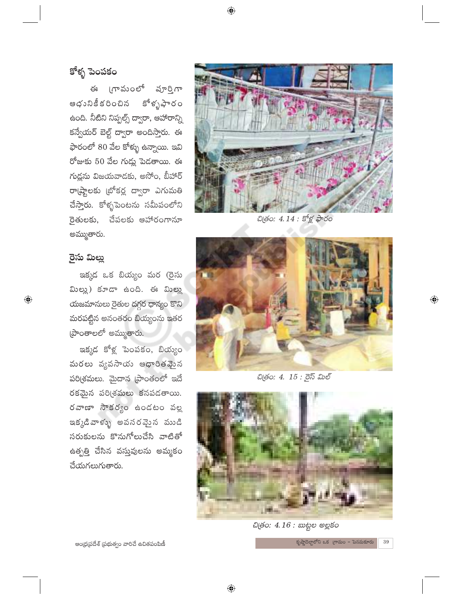# కోళ్ళ పెంపకం

గామంలో పూర్తిగా ఈ ఆధునికీ కరించిన కోళ్ళపారం ఉంది. నీటిని నిప్పల్స్ ద్వారా, ఆహారాన్ని కన్వేయర్ బెల్ట్ ద్వారా అందిస్తారు. ఈ ఫారంలో 80 వేల కోళ్ళు ఉన్నాయి. ఇవి రోజుకు 50 వేల గుడ్లు పెడతాయి. ఈ గుద్దను విజయవాదకు, అసోం, బీహార్ రా(ష్టాలకు (బోకర్ల ద్వారా ఎగుమతి చేస్తారు. కోళ్ళపెంటను సమీపంలోని రైతులకు, చేపలకు ఆహారంగానూ అమ్ముతారు.

### రైసు మిల్లు

 $\bigoplus$ 

ఇక్కడ ఒక బియ్యం మర (రైసు మిల్లు) కూడా ఉంది. ఈ మిల్లు యజమానులు రైతుల దగ్గర ధాన్యం కొని మరపట్టిన అనంతరం బియ్యంను ఇతర ప్రాంతాలలో అమ్ముతారు.

ఇక్కడ కోళ్ల పెంపకం, బియ్యం మరలు వ్యవసాయ ఆధారితవైంన పరి(శమలు. మైదాన (పాంతంలో ఇదే రకమైన పరి(శమలు కనపడతాయి. రవాణా సౌకర్యం ఉండటం వల్ల ఇక్కడివాళ్ళు అవసరమైన ముడి సరుకులను కొనుగోలుచేసి వాటితో ఉత్పత్తి చేసిన వస్తువులను అమ్మకం చేయగలుగుతారు.



చిత్రం: 4.14 : కోళ్ల ఫారం



 $\bigoplus$ 

చిత్రం: 4. 15 : రైస్ మిల్



ඩල්o: 4.16 : బుట్టల అల్లకం

 $\frac{1}{2}$ కృష్ణాదెల్టాలోని ఒక (గామం - పెనమకూరు

 $39\,$ 

ఆంధ్రప్రదేశ్ (పభుత్వం వారిచే ఉచితపంపిణీ